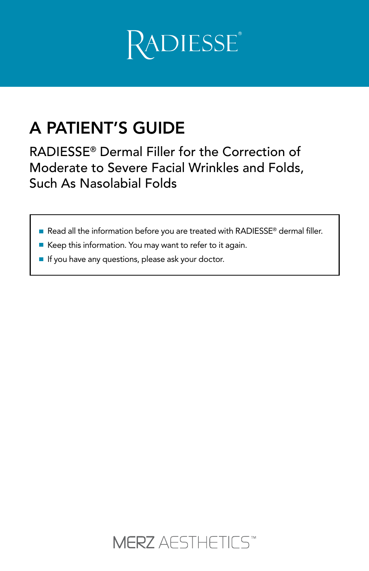

# A PATIENT'S GUIDE

RADIESSE® Dermal Filler for the Correction of Moderate to Severe Facial Wrinkles and Folds, Such As Nasolabial Folds

- Read all the information before you are treated with RADIESSE® dermal filler.
- Keep this information. You may want to refer to it again.
- If you have any questions, please ask your doctor.

**MERZ** AESTHETICS<sup>\*\*</sup>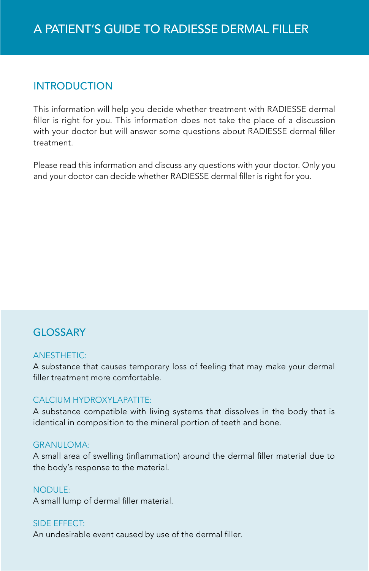## **INTRODUCTION**

This information will help you decide whether treatment with RADIESSE dermal filler is right for you. This information does not take the place of a discussion with your doctor but will answer some questions about RADIESSE dermal filler treatment.

Please read this information and discuss any questions with your doctor. Only you and your doctor can decide whether RADIESSE dermal filler is right for you.

## GLOSSARY

#### **ANESTHETIC:**

A substance that causes temporary loss of feeling that may make your dermal filler treatment more comfortable.

#### CAI CIUM HYDROXYI APATITE:

A substance compatible with living systems that dissolves in the body that is identical in composition to the mineral portion of teeth and bone.

#### GRANUI OMA:

A small area of swelling (inflammation) around the dermal filler material due to the body's response to the material.

#### NODULE:

A small lump of dermal filler material.

#### Side effect:

An undesirable event caused by use of the dermal filler.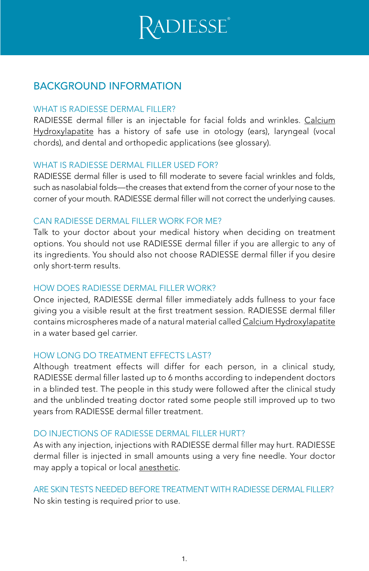

### BACKGROUND INFORMATION

#### WHAT IS RADIESSE DERMAL FILLER?

RADIESSE dermal filler is an injectable for facial folds and wrinkles. Calcium Hydroxylapatite has a history of safe use in otology (ears), laryngeal (vocal chords), and dental and orthopedic applications (see glossary).

#### WHAT IS RADIESSE DERMAL FILLER USED FOR?

RADIESSE dermal filler is used to fill moderate to severe facial wrinkles and folds, such as nasolabial folds—the creases that extend from the corner of your nose to the corner of your mouth. RADIESSE dermal filler will not correct the underlying causes.

#### CAN RADIESSE DERMAL FILLER WORK FOR ME?

Talk to your doctor about your medical history when deciding on treatment options. You should not use RADIESSE dermal filler if you are allergic to any of its ingredients. You should also not choose RADIESSE dermal filler if you desire only short-term results.

#### How does RADIESSE dermal filler work?

Once injected, RADIESSE dermal filler immediately adds fullness to your face giving you a visible result at the first treatment session. RADIESSE dermal filler contains microspheres made of a natural material called Calcium Hydroxylapatite in a water based gel carrier.

#### HOW LONG DO TREATMENT EFFECTS LAST?

Although treatment effects will differ for each person, in a clinical study, RADIESSE dermal filler lasted up to 6 months according to independent doctors in a blinded test. The people in this study were followed after the clinical study and the unblinded treating doctor rated some people still improved up to two years from RADIESSE dermal filler treatment.

#### DO INJECTIONS OF RADIESSE DERMAL FILLER HURT?

As with any injection, injections with RADIESSE dermal filler may hurt. RADIESSE dermal filler is injected in small amounts using a very fine needle. Your doctor may apply a topical or local anesthetic.

#### ARE SKIN TESTS NEEDED BEFORE TREATMENT WITH RADIESSE DERMAL FILLER? No skin testing is required prior to use.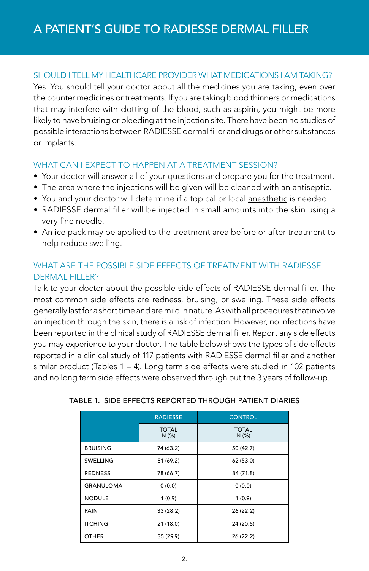#### SHOULD I TELL MY HEALTHCARE PROVIDER WHAT MEDICATIONS I AM TAKING?

Yes. You should tell your doctor about all the medicines you are taking, even over the counter medicines or treatments. If you are taking blood thinners or medications that may interfere with clotting of the blood, such as aspirin, you might be more likely to have bruising or bleeding at the injection site. There have been no studies of possible interactions between RADIESSE dermal filler and drugs or other substances or implants.

#### WHAT CAN I EXPECT TO HAPPEN AT A TREATMENT SESSION?

- Your doctor will answer all of your questions and prepare you for the treatment.
- The area where the injections will be given will be cleaned with an antiseptic.
- You and your doctor will determine if a topical or local anesthetic is needed.
- RADIESSE dermal filler will be injected in small amounts into the skin using a very fine needle.
- An ice pack may be applied to the treatment area before or after treatment to help reduce swelling.

#### What are the possible side effects of treatment with RADIESSE DERMAL FILLER?

Talk to your doctor about the possible side effects of RADIESSE dermal filler. The most common side effects are redness, bruising, or swelling. These side effects generally last for a short time and are mild in nature. As with all procedures that involve an injection through the skin, there is a risk of infection. However, no infections have been reported in the clinical study of RADIESSE dermal filler. Report any side effects you may experience to your doctor. The table below shows the types of side effects reported in a clinical study of 117 patients with RADIESSE dermal filler and another similar product (Tables  $1 - 4$ ). Long term side effects were studied in 102 patients and no long term side effects were observed through out the 3 years of follow-up.

|                  | <b>RADIESSE</b>      | <b>CONTROL</b>       |
|------------------|----------------------|----------------------|
|                  | <b>TOTAL</b><br>N(%) | <b>TOTAL</b><br>N(%) |
| <b>BRUISING</b>  | 74 (63.2)            | 50 (42.7)            |
| <b>SWELLING</b>  | 81 (69.2)            | 62 (53.0)            |
| <b>REDNESS</b>   | 78 (66.7)            | 84 (71.8)            |
| <b>GRANULOMA</b> | 0(0.0)               | 0(0.0)               |
| <b>NODULE</b>    | 1(0.9)               | 1(0.9)               |
| PAIN             | 33(28.2)             | 26(22.2)             |
| <b>ITCHING</b>   | 21(18.0)             | 24 (20.5)            |
| <b>OTHER</b>     | 35 (29.9)            | 26(22.2)             |

#### TABLE 1. SIDE EFFECTS REPORTED THROUGH PATIENT DIARIES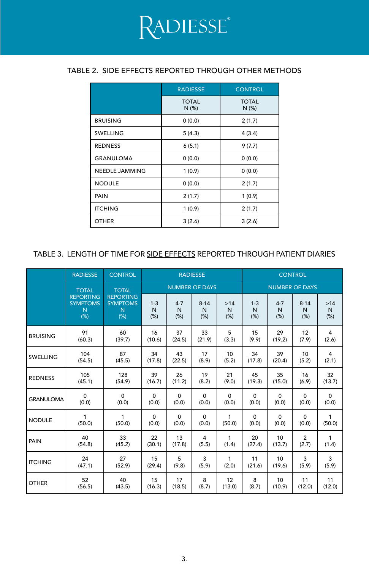#### TABLE 2. SIDE EFFECTS REPORTED THROUGH OTHER METHODS

|                       | <b>RADIESSE</b>      | <b>CONTROL</b>       |  |  |  |
|-----------------------|----------------------|----------------------|--|--|--|
|                       | <b>TOTAL</b><br>N(%) | <b>TOTAL</b><br>N(%) |  |  |  |
| <b>BRUISING</b>       | 0(0.0)               | 2(1.7)               |  |  |  |
| SWELLING              | 5(4.3)               | 4(3.4)               |  |  |  |
| <b>REDNESS</b>        | 6(5.1)               | 9(7.7)               |  |  |  |
| <b>GRANULOMA</b>      | 0(0.0)               | 0(0.0)               |  |  |  |
| <b>NEEDLE JAMMING</b> | 1(0.9)               | 0(0.0)               |  |  |  |
| <b>NODULE</b>         | 0(0.0)               | 2(1.7)               |  |  |  |
| PAIN                  | 2(1.7)               | 1(0.9)               |  |  |  |
| <b>ITCHING</b>        | 1(0.9)               | 2(1.7)               |  |  |  |
| <b>OTHER</b>          | 3(2.6)               | 3(2.6)               |  |  |  |

#### TABLE 3. LENGTH OF TIME FOR SIDE EFFECTS REPORTED THROUGH PATIENT DIARIES

|                  | <b>RADIESSE</b>                                                      | <b>CONTROL</b>                             |                       |                        | <b>RADIESSE</b>       |                   | <b>CONTROL</b>        |                     |                       |                      |  |
|------------------|----------------------------------------------------------------------|--------------------------------------------|-----------------------|------------------------|-----------------------|-------------------|-----------------------|---------------------|-----------------------|----------------------|--|
|                  | <b>TOTAL</b><br><b>REPORTING</b><br><b>SYMPTOMS</b><br>N<br>N<br>(%) | <b>TOTAL</b>                               | <b>NUMBER OF DAYS</b> |                        |                       |                   | <b>NUMBER OF DAYS</b> |                     |                       |                      |  |
|                  |                                                                      | <b>REPORTING</b><br><b>SYMPTOMS</b><br>(%) | $1 - 3$<br>N<br>(% )  | $4 - 7$<br>N<br>$(\%)$ | $8 - 14$<br>N<br>(% ) | $>14$<br>N<br>(%) | $1 - 3$<br>N<br>(%)   | $4 - 7$<br>N<br>(%) | $8 - 14$<br>N<br>(% ) | $>14$<br>N<br>$(\%)$ |  |
| <b>BRUISING</b>  | 91                                                                   | 60                                         | 16                    | 37                     | 33                    | 5                 | 15                    | 29                  | 12                    | 4                    |  |
|                  | (60.3)                                                               | (39.7)                                     | (10.6)                | (24.5)                 | (21.9)                | (3.3)             | (9.9)                 | (19.2)              | (7.9)                 | (2.6)                |  |
| SWELLING         | 104                                                                  | 87                                         | 34                    | 43                     | 17                    | 10                | 34                    | 39                  | 10                    | 4                    |  |
|                  | (54.5)                                                               | (45.5)                                     | (17.8)                | (22.5)                 | (8.9)                 | (5.2)             | (17.8)                | (20.4)              | (5.2)                 | (2.1)                |  |
| <b>REDNESS</b>   | 105                                                                  | 128                                        | 39                    | 26                     | 19                    | 21                | 45                    | 35                  | 16                    | 32                   |  |
|                  | (45.1)                                                               | (54.9)                                     | (16.7)                | (11.2)                 | (8.2)                 | (9.0)             | (19.3)                | (15.0)              | (6.9)                 | (13.7)               |  |
| <b>GRANULOMA</b> | $\Omega$                                                             | $\Omega$                                   | $\mathbf 0$           | $\Omega$               | $\mathbf 0$           | $\Omega$          | $\Omega$              | $\Omega$            | $\Omega$              | $\mathbf 0$          |  |
|                  | (0.0)                                                                | (0.0)                                      | (0.0)                 | (0.0)                  | (0.0)                 | (0.0)             | (0.0)                 | (0.0)               | (0.0)                 | (0.0)                |  |
| <b>NODULE</b>    | 1                                                                    | 1                                          | $\mathbf 0$           | $\Omega$               | $\mathbf 0$           | 1                 | $\Omega$              | $\Omega$            | $\Omega$              | 1                    |  |
|                  | (50.0)                                                               | (50.0)                                     | (0.0)                 | (0.0)                  | (0.0)                 | (50.0)            | (0.0)                 | (0.0)               | (0.0)                 | (50.0)               |  |
| PAIN             | 40                                                                   | 33                                         | 22                    | 13                     | 4                     | 1                 | 20                    | 10                  | $\overline{c}$        | 1                    |  |
|                  | (54.8)                                                               | (45.2)                                     | (30.1)                | (17.8)                 | (5.5)                 | (1.4)             | (27.4)                | (13.7)              | (2.7)                 | (1.4)                |  |
| <b>ITCHING</b>   | 24                                                                   | 27                                         | 15                    | 5                      | 3                     | 1                 | 11                    | 10                  | 3                     | 3                    |  |
|                  | (47.1)                                                               | (52.9)                                     | (29.4)                | (9.8)                  | (5.9)                 | (2.0)             | (21.6)                | (19.6)              | (5.9)                 | (5.9)                |  |
| <b>OTHER</b>     | 52                                                                   | 40                                         | 15                    | 17                     | 8                     | 12                | 8                     | 10                  | 11                    | 11                   |  |
|                  | (56.5)                                                               | (43.5)                                     | (16.3)                | (18.5)                 | (8.7)                 | (13.0)            | (8.7)                 | (10.9)              | (12.0)                | (12.0)               |  |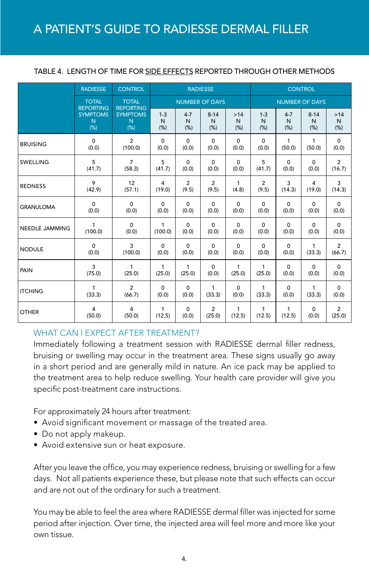|  | TABLE 4. LENGTH OF TIME FOR SIDE EFFECTS REPORTED THROUGH OTHER METHODS |
|--|-------------------------------------------------------------------------|
|--|-------------------------------------------------------------------------|

|                  | <b>RADIESSE</b>                                                    | <b>CONTROL</b>                                                  | <b>RADIESSE</b>       |                      |                       |                  | <b>CONTROL</b>        |                      |                       |                             |
|------------------|--------------------------------------------------------------------|-----------------------------------------------------------------|-----------------------|----------------------|-----------------------|------------------|-----------------------|----------------------|-----------------------|-----------------------------|
|                  | <b>TOTAL</b><br><b>REPORTING</b><br><b>SYMPTOMS</b><br>N<br>$(\%)$ | <b>TOTAL</b><br><b>REPORTING</b><br><b>SYMPTOMS</b><br>N<br>(%) | <b>NUMBER OF DAYS</b> |                      |                       |                  | <b>NUMBER OF DAYS</b> |                      |                       |                             |
|                  |                                                                    |                                                                 | $1 - 3$<br>N<br>(%)   | $4 - 7$<br>N<br>(% ) | $8 - 14$<br>N<br>(% ) | >14<br>N<br>(% ) | $1 - 3$<br>N<br>(% )  | $4 - 7$<br>N<br>(% ) | $8 - 14$<br>N<br>(% ) | >14<br>$\mathsf{N}$<br>(% ) |
| <b>BRUISING</b>  | $\Omega$                                                           | $\overline{2}$                                                  | $\Omega$              | $\Omega$             | $\Omega$              | $\Omega$         | $\Omega$              | 1                    | $\mathbf{1}$          | $\Omega$                    |
|                  | (0.0)                                                              | (100.0)                                                         | (0.0)                 | (0.0)                | (0.0)                 | (0.0)            | (0.0)                 | (50.0)               | (50.0)                | (0.0)                       |
| SWELLING         | 5                                                                  | $\overline{7}$                                                  | 5                     | $\Omega$             | $\Omega$              | $\Omega$         | 5                     | $\Omega$             | 0                     | $\overline{2}$              |
|                  | (41.7)                                                             | (58.3)                                                          | (41.7)                | (0.0)                | (0.0)                 | (0.0)            | (41.7)                | (0.0)                | (0.0)                 | (16.7)                      |
| <b>REDNESS</b>   | 9                                                                  | 12                                                              | 4                     | $\overline{2}$       | 2                     | 1                | 2                     | 3                    | 4                     | 3                           |
|                  | (42.9)                                                             | (57.1)                                                          | (19.0)                | (9.5)                | (9.5)                 | (4.8)            | (9.5)                 | (14.3)               | (19.0)                | (14.3)                      |
| <b>GRANULOMA</b> | $\Omega$                                                           | $\Omega$                                                        | $\Omega$              | $\Omega$             | $\Omega$              | $\Omega$         | $\Omega$              | $\Omega$             | $\Omega$              | $\Omega$                    |
|                  | (0.0)                                                              | (0.0)                                                           | (0.0)                 | (0.0)                | (0.0)                 | (0.0)            | (0.0)                 | (0.0)                | (0.0)                 | (0.0)                       |
| NEEDLE JAMMING   | 1                                                                  | $\Omega$                                                        | 1                     | $\Omega$             | $\Omega$              | $\Omega$         | $\Omega$              | $\Omega$             | $\Omega$              | $\Omega$                    |
|                  | (100.0)                                                            | (0.0)                                                           | (100.0)               | (0.0)                | (0.0)                 | (0.0)            | (0.0)                 | (0.0)                | (0.0)                 | (0.0)                       |
| <b>NODULE</b>    | $\Omega$                                                           | 3                                                               | $\Omega$              | $\Omega$             | $\Omega$              | $\Omega$         | $\Omega$              | $\Omega$             | 1                     | $\overline{2}$              |
|                  | (0.0)                                                              | (100.0)                                                         | (0.0)                 | (0.0)                | (0.0)                 | (0.0)            | (0.0)                 | (0.0)                | (33.3)                | (66.7)                      |
| PAIN             | 3                                                                  | 1                                                               | 1                     | 1                    | $\Omega$              | 1                | 1                     | $\Omega$             | $\Omega$              | $\Omega$                    |
|                  | (75.0)                                                             | (25.0)                                                          | (25.0)                | (25.0)               | (0.0)                 | (25.0)           | (25.0)                | (0.0)                | (0.0)                 | (0.0)                       |
| <b>ITCHING</b>   | 1                                                                  | $\overline{2}$                                                  | $\Omega$              | $\Omega$             | 1                     | $\Omega$         | 1                     | $\Omega$             | 1                     | $\Omega$                    |
|                  | (33.3)                                                             | (66.7)                                                          | (0.0)                 | (0.0)                | (33.3)                | (0.0)            | (33.3)                | (0.0)                | (33.3)                | (0.0)                       |
| <b>OTHER</b>     | 4                                                                  | 4                                                               | 1                     | $\Omega$             | $\overline{2}$        | 1                | 1                     | 1                    | $\Omega$              | $\overline{2}$              |
|                  | (50.0)                                                             | (50.0)                                                          | (12.5)                | (0.0)                | (25.0)                | (12.5)           | (12.5)                | (12.5)               | (0.0)                 | (25.0)                      |

#### WHAT CAN I EXPECT AFTER TREATMENT?

Immediately following a treatment session with RADIESSE dermal filler redness, bruising or swelling may occur in the treatment area. These signs usually go away in a short period and are generally mild in nature. An ice pack may be applied to the treatment area to help reduce swelling. Your health care provider will give you specific post-treatment care instructions.

For approximately 24 hours after treatment:

- Avoid significant movement or massage of the treated area.
- Do not apply makeup.
- Avoid extensive sun or heat exposure.

After you leave the office, you may experience redness, bruising or swelling for a few days. Not all patients experience these, but please note that such effects can occur and are not out of the ordinary for such a treatment.

You may be able to feel the area where RADIESSE dermal filler was injected for some period after injection. Over time, the injected area will feel more and more like your own tissue.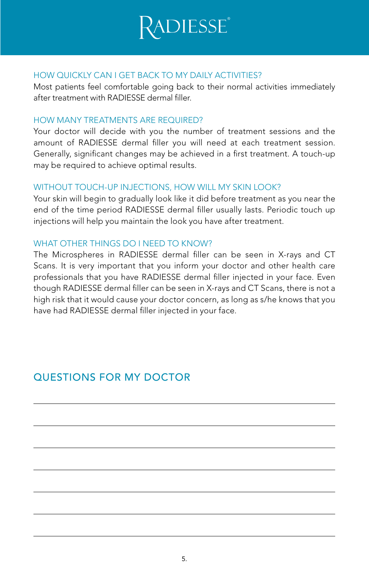

#### HOW QUICKLY CAN I GET BACK TO MY DAILY ACTIVITIES?

Most patients feel comfortable going back to their normal activities immediately after treatment with RADIESSE dermal filler.

#### HOW MANY TREATMENTS ARF RFOURED?

Your doctor will decide with you the number of treatment sessions and the amount of RADIESSE dermal filler you will need at each treatment session. Generally, significant changes may be achieved in a first treatment. A touch-up may be required to achieve optimal results.

#### WITHOUT TOUCH-UP INJECTIONS, HOW WILL MY SKIN LOOK?

Your skin will begin to gradually look like it did before treatment as you near the end of the time period RADIESSE dermal filler usually lasts. Periodic touch up injections will help you maintain the look you have after treatment.

#### WHAT OTHER THINGS DO I NEED TO KNOW?

The Microspheres in RADIESSE dermal filler can be seen in X-rays and CT Scans. It is very important that you inform your doctor and other health care professionals that you have RADIESSE dermal filler injected in your face. Even though RADIESSE dermal filler can be seen in X-rays and CT Scans, there is not a high risk that it would cause your doctor concern, as long as s/he knows that you have had RADIESSE dermal filler injected in your face.

## QUESTIONS FOR MY DOCTOR